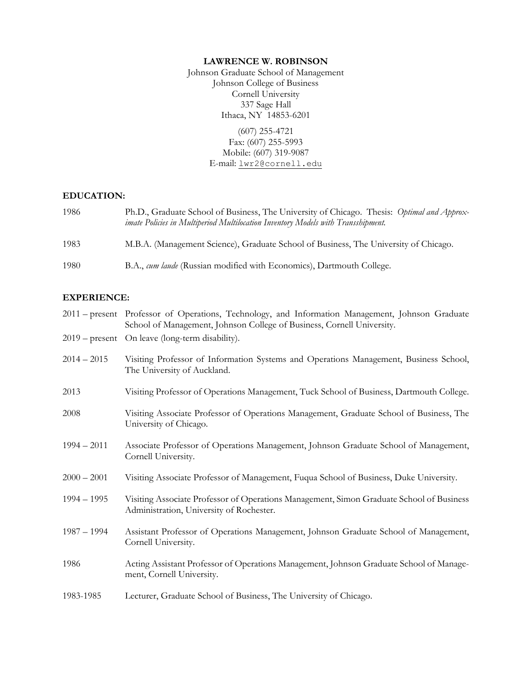#### **LAWRENCE W. ROBINSON**

Johnson Graduate School of Management Johnson College of Business Cornell University 337 Sage Hall Ithaca, NY 14853-6201

> (607) 255-4721 Fax: (607) 255-5993 Mobile: (607) 319-9087 E-mail: [lwr2@cornell.edu](mailto:lwr2@cornell.edu)

### **EDUCATION:**

| 1986 | Ph.D., Graduate School of Business, The University of Chicago. Thesis: Optimal and Approx-<br>imate Policies in Multiperiod Multilocation Inventory Models with Transshipment. |
|------|--------------------------------------------------------------------------------------------------------------------------------------------------------------------------------|
| 1983 | M.B.A. (Management Science), Graduate School of Business, The University of Chicago.                                                                                           |
| 1980 | B.A., cum laude (Russian modified with Economics), Dartmouth College.                                                                                                          |

# **EXPERIENCE:**

|               | 2011 - present Professor of Operations, Technology, and Information Management, Johnson Graduate<br>School of Management, Johnson College of Business, Cornell University. |
|---------------|----------------------------------------------------------------------------------------------------------------------------------------------------------------------------|
|               | 2019 – present On leave (long-term disability).                                                                                                                            |
| $2014 - 2015$ | Visiting Professor of Information Systems and Operations Management, Business School,<br>The University of Auckland.                                                       |
| 2013          | Visiting Professor of Operations Management, Tuck School of Business, Dartmouth College.                                                                                   |
| 2008          | Visiting Associate Professor of Operations Management, Graduate School of Business, The<br>University of Chicago.                                                          |
| $1994 - 2011$ | Associate Professor of Operations Management, Johnson Graduate School of Management,<br>Cornell University.                                                                |
| $2000 - 2001$ | Visiting Associate Professor of Management, Fuqua School of Business, Duke University.                                                                                     |
| $1994 - 1995$ | Visiting Associate Professor of Operations Management, Simon Graduate School of Business<br>Administration, University of Rochester.                                       |
| $1987 - 1994$ | Assistant Professor of Operations Management, Johnson Graduate School of Management,<br>Cornell University.                                                                |
| 1986          | Acting Assistant Professor of Operations Management, Johnson Graduate School of Manage-<br>ment, Cornell University.                                                       |
| 1983-1985     | Lecturer, Graduate School of Business, The University of Chicago.                                                                                                          |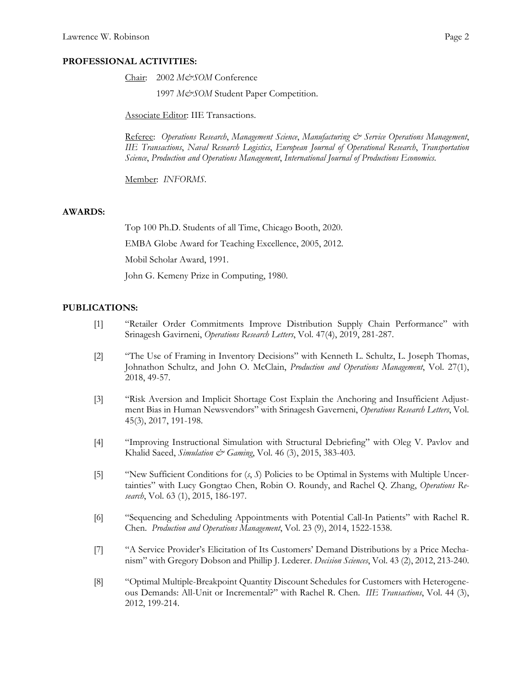### **PROFESSIONAL ACTIVITIES:**

Chair: 2002 M&SOM Conference

1997 *M&SOM* Student Paper Competition.

Associate Editor: IIE Transactions.

Referee: *Operations Research*, *Management Science*, *Manufacturing & Service Operations Management*, *IIE Transactions*, *Naval Research Logistics*, *European Journal of Operational Research*, *Transportation Science*, *Production and Operations Management*, *International Journal of Productions Economics.*

Member: *INFORMS*.

### **AWARDS:**

Top 100 Ph.D. Students of all Time, Chicago Booth, 2020. EMBA Globe Award for Teaching Excellence, 2005, 2012. Mobil Scholar Award, 1991. John G. Kemeny Prize in Computing, 1980.

# **PUBLICATIONS:**

- [1] "Retailer Order Commitments Improve Distribution Supply Chain Performance" with Srinagesh Gavirneni, *Operations Research Letters*, Vol. 47(4), 2019, 281-287.
- [2] "The Use of Framing in Inventory Decisions" with Kenneth L. Schultz, L. Joseph Thomas, Johnathon Schultz, and John O. McClain, *Production and Operations Management*, Vol. 27(1), 2018, 49-57.
- [3] "Risk Aversion and Implicit Shortage Cost Explain the Anchoring and Insufficient Adjustment Bias in Human Newsvendors" with Srinagesh Gaverneni, *Operations Research Letters*, Vol. 45(3), 2017, 191-198.
- [4] "Improving Instructional Simulation with Structural Debriefing" with Oleg V. Pavlov and Khalid Saeed, *Simulation & Gaming*, Vol. 46 (3), 2015, 383-403.
- [5] "New Sufficient Conditions for (*s*, *S*) Policies to be Optimal in Systems with Multiple Uncertainties" with Lucy Gongtao Chen, Robin O. Roundy, and Rachel Q. Zhang, *Operations Research*, Vol. 63 (1), 2015, 186-197.
- [6] "Sequencing and Scheduling Appointments with Potential Call-In Patients" with Rachel R. Chen. *Production and Operations Management*, Vol. 23 (9), 2014, 1522-1538.
- [7] "A Service Provider's Elicitation of Its Customers' Demand Distributions by a Price Mechanism" with Gregory Dobson and Phillip J. Lederer. *Decision Sciences*, Vol. 43 (2), 2012, 213-240.
- [8] "Optimal Multiple-Breakpoint Quantity Discount Schedules for Customers with Heterogeneous Demands: All-Unit or Incremental?" with Rachel R. Chen. *IIE Transactions*, Vol. 44 (3), 2012, 199-214.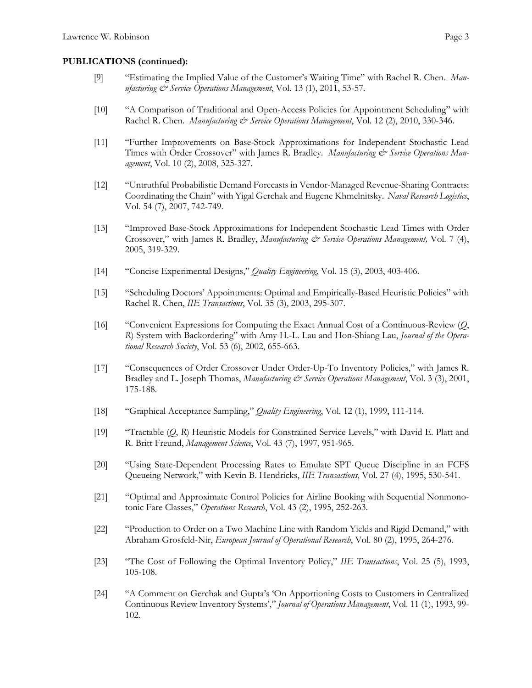#### **PUBLICATIONS (continued):**

- [9] "Estimating the Implied Value of the Customer's Waiting Time" with Rachel R. Chen. *Manufacturing & Service Operations Management*, Vol. 13 (1), 2011, 53-57.
- [10] "A Comparison of Traditional and Open-Access Policies for Appointment Scheduling" with Rachel R. Chen. *Manufacturing & Service Operations Management*, Vol. 12 (2), 2010, 330-346.
- [11] "Further Improvements on Base-Stock Approximations for Independent Stochastic Lead Times with Order Crossover" with James R. Bradley. Manufacturing & Service Operations Man*agement*, Vol. 10 (2), 2008, 325-327.
- [12] "Untruthful Probabilistic Demand Forecasts in Vendor-Managed Revenue-Sharing Contracts: Coordinating the Chain" with Yigal Gerchak and Eugene Khmelnitsky. *Naval Research Logistics*, Vol. 54 (7), 2007, 742-749.
- [13] "Improved Base-Stock Approximations for Independent Stochastic Lead Times with Order Crossover," with James R. Bradley, *Manufacturing & Service Operations Management*, Vol. 7 (4), 2005, 319-329.
- [14] "Concise Experimental Designs," *Quality Engineering*, Vol. 15 (3), 2003, 403-406.
- [15] "Scheduling Doctors' Appointments: Optimal and Empirically-Based Heuristic Policies" with Rachel R. Chen, *IIE Transactions*, Vol. 35 (3), 2003, 295-307.
- [16] "Convenient Expressions for Computing the Exact Annual Cost of a Continuous-Review (*Q*, *R*) System with Backordering" with Amy H.-L. Lau and Hon-Shiang Lau, *Journal of the Operational Research Society*, Vol. 53 (6), 2002, 655-663.
- [17] "Consequences of Order Crossover Under Order-Up-To Inventory Policies," with James R. Bradley and L. Joseph Thomas, *Manufacturing & Service Operations Management*, Vol. 3 (3), 2001, 175-188.
- [18] "Graphical Acceptance Sampling," *Quality Engineering*, Vol. 12 (1), 1999, 111-114.
- [19] "Tractable (*Q*, *R*) Heuristic Models for Constrained Service Levels," with David E. Platt and R. Britt Freund, *Management Science*, Vol. 43 (7), 1997, 951-965.
- [20] "Using State-Dependent Processing Rates to Emulate SPT Queue Discipline in an FCFS Queueing Network," with Kevin B. Hendricks, *IIE Transactions*, Vol. 27 (4), 1995, 530-541.
- [21] "Optimal and Approximate Control Policies for Airline Booking with Sequential Nonmonotonic Fare Classes," *Operations Research*, Vol. 43 (2), 1995, 252-263.
- [22] "Production to Order on a Two Machine Line with Random Yields and Rigid Demand," with Abraham Grosfeld-Nir, *European Journal of Operational Research*, Vol. 80 (2), 1995, 264-276.
- [23] "The Cost of Following the Optimal Inventory Policy," *IIE Transactions*, Vol. 25 (5), 1993, 105-108.
- [24] "A Comment on Gerchak and Gupta's 'On Apportioning Costs to Customers in Centralized Continuous Review Inventory Systems'," *Journal of Operations Management*, Vol. 11 (1), 1993, 99- 102.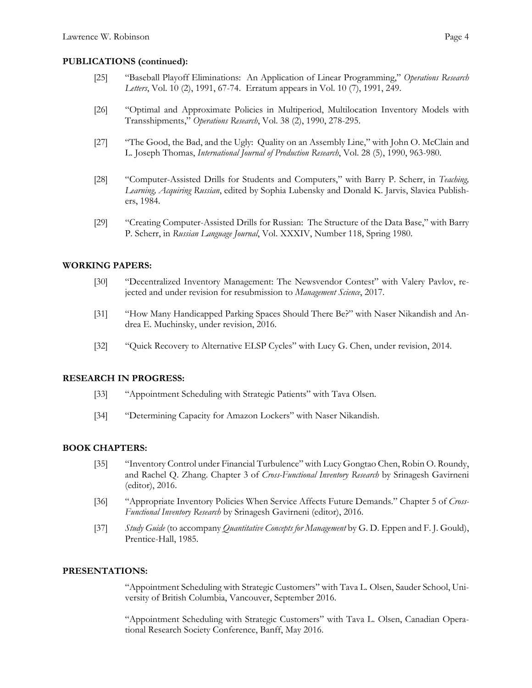# **PUBLICATIONS (continued):**

- [25] "Baseball Playoff Eliminations: An Application of Linear Programming," *Operations Research Letters*, Vol. 10 (2), 1991, 67-74. Erratum appears in Vol. 10 (7), 1991, 249.
- [26] "Optimal and Approximate Policies in Multiperiod, Multilocation Inventory Models with Transshipments," *Operations Research*, Vol. 38 (2), 1990, 278-295.
- [27] "The Good, the Bad, and the Ugly: Quality on an Assembly Line," with John O. McClain and L. Joseph Thomas, *International Journal of Production Research*, Vol. 28 (5), 1990, 963-980.
- [28] "Computer-Assisted Drills for Students and Computers," with Barry P. Scherr, in *Teaching, Learning, Acquiring Russian*, edited by Sophia Lubensky and Donald K. Jarvis, Slavica Publishers, 1984.
- [29] "Creating Computer-Assisted Drills for Russian: The Structure of the Data Base," with Barry P. Scherr, in *Russian Language Journal*, Vol. XXXIV, Number 118, Spring 1980.

# **WORKING PAPERS:**

- [30] "Decentralized Inventory Management: The Newsvendor Contest" with Valery Pavlov, rejected and under revision for resubmission to *Management Science*, 2017.
- [31] "How Many Handicapped Parking Spaces Should There Be?" with Naser Nikandish and Andrea E. Muchinsky, under revision, 2016.
- [32] "Quick Recovery to Alternative ELSP Cycles" with Lucy G. Chen, under revision, 2014.

#### **RESEARCH IN PROGRESS:**

- [33] "Appointment Scheduling with Strategic Patients" with Tava Olsen.
- [34] "Determining Capacity for Amazon Lockers" with Naser Nikandish.

# **BOOK CHAPTERS:**

- [35] "Inventory Control under Financial Turbulence" with Lucy Gongtao Chen, Robin O. Roundy, and Rachel Q. Zhang. Chapter 3 of *Cross-Functional Inventory Research* by Srinagesh Gavirneni (editor), 2016.
- [36] "Appropriate Inventory Policies When Service Affects Future Demands." Chapter 5 of *Cross-Functional Inventory Research* by Srinagesh Gavirneni (editor), 2016.
- [37] *Study Guide* (to accompany *Quantitative Concepts for Management* by G. D. Eppen and F. J. Gould), Prentice-Hall, 1985.

# **PRESENTATIONS:**

"Appointment Scheduling with Strategic Customers" with Tava L. Olsen, Sauder School, University of British Columbia, Vancouver, September 2016.

"Appointment Scheduling with Strategic Customers" with Tava L. Olsen, Canadian Operational Research Society Conference, Banff, May 2016.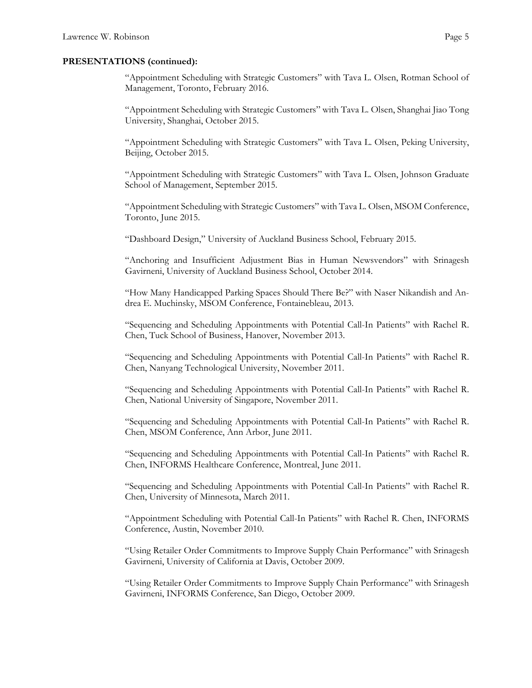"Appointment Scheduling with Strategic Customers" with Tava L. Olsen, Rotman School of Management, Toronto, February 2016.

"Appointment Scheduling with Strategic Customers" with Tava L. Olsen, Shanghai Jiao Tong University, Shanghai, October 2015.

"Appointment Scheduling with Strategic Customers" with Tava L. Olsen, Peking University, Beijing, October 2015.

"Appointment Scheduling with Strategic Customers" with Tava L. Olsen, Johnson Graduate School of Management, September 2015.

"Appointment Scheduling with Strategic Customers" with Tava L. Olsen, MSOM Conference, Toronto, June 2015.

"Dashboard Design," University of Auckland Business School, February 2015.

"Anchoring and Insufficient Adjustment Bias in Human Newsvendors" with Srinagesh Gavirneni, University of Auckland Business School, October 2014.

"How Many Handicapped Parking Spaces Should There Be?" with Naser Nikandish and Andrea E. Muchinsky, MSOM Conference, Fontainebleau, 2013.

"Sequencing and Scheduling Appointments with Potential Call-In Patients" with Rachel R. Chen, Tuck School of Business, Hanover, November 2013.

"Sequencing and Scheduling Appointments with Potential Call-In Patients" with Rachel R. Chen, Nanyang Technological University, November 2011.

"Sequencing and Scheduling Appointments with Potential Call-In Patients" with Rachel R. Chen, National University of Singapore, November 2011.

"Sequencing and Scheduling Appointments with Potential Call-In Patients" with Rachel R. Chen, MSOM Conference, Ann Arbor, June 2011.

"Sequencing and Scheduling Appointments with Potential Call-In Patients" with Rachel R. Chen, INFORMS Healthcare Conference, Montreal, June 2011.

"Sequencing and Scheduling Appointments with Potential Call-In Patients" with Rachel R. Chen, University of Minnesota, March 2011.

"Appointment Scheduling with Potential Call-In Patients" with Rachel R. Chen, INFORMS Conference, Austin, November 2010.

"Using Retailer Order Commitments to Improve Supply Chain Performance" with Srinagesh Gavirneni, University of California at Davis, October 2009.

"Using Retailer Order Commitments to Improve Supply Chain Performance" with Srinagesh Gavirneni, INFORMS Conference, San Diego, October 2009.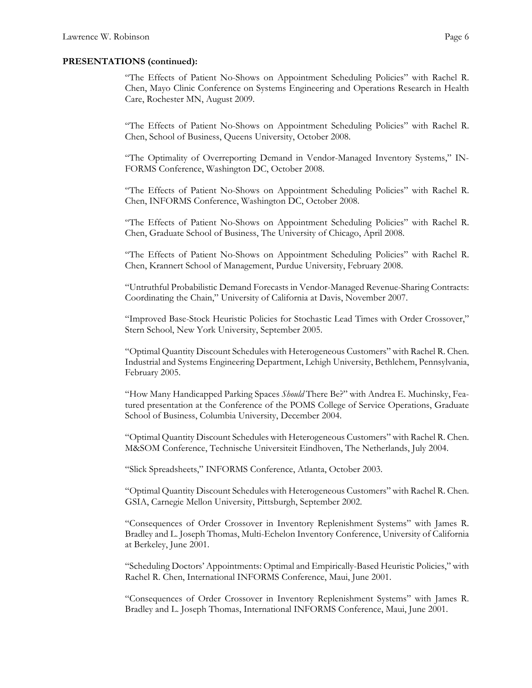"The Effects of Patient No-Shows on Appointment Scheduling Policies" with Rachel R. Chen, Mayo Clinic Conference on Systems Engineering and Operations Research in Health Care, Rochester MN, August 2009.

"The Effects of Patient No-Shows on Appointment Scheduling Policies" with Rachel R. Chen, School of Business, Queens University, October 2008.

"The Optimality of Overreporting Demand in Vendor-Managed Inventory Systems," IN-FORMS Conference, Washington DC, October 2008.

"The Effects of Patient No-Shows on Appointment Scheduling Policies" with Rachel R. Chen, INFORMS Conference, Washington DC, October 2008.

"The Effects of Patient No-Shows on Appointment Scheduling Policies" with Rachel R. Chen, Graduate School of Business, The University of Chicago, April 2008.

"The Effects of Patient No-Shows on Appointment Scheduling Policies" with Rachel R. Chen, Krannert School of Management, Purdue University, February 2008.

"Untruthful Probabilistic Demand Forecasts in Vendor-Managed Revenue-Sharing Contracts: Coordinating the Chain," University of California at Davis, November 2007.

"Improved Base-Stock Heuristic Policies for Stochastic Lead Times with Order Crossover," Stern School, New York University, September 2005.

"Optimal Quantity Discount Schedules with Heterogeneous Customers" with Rachel R. Chen. Industrial and Systems Engineering Department, Lehigh University, Bethlehem, Pennsylvania, February 2005.

"How Many Handicapped Parking Spaces *Should* There Be?" with Andrea E. Muchinsky, Featured presentation at the Conference of the POMS College of Service Operations, Graduate School of Business, Columbia University, December 2004.

"Optimal Quantity Discount Schedules with Heterogeneous Customers" with Rachel R. Chen. M&SOM Conference, Technische Universiteit Eindhoven, The Netherlands, July 2004.

"Slick Spreadsheets," INFORMS Conference, Atlanta, October 2003.

"Optimal Quantity Discount Schedules with Heterogeneous Customers" with Rachel R. Chen. GSIA, Carnegie Mellon University, Pittsburgh, September 2002.

"Consequences of Order Crossover in Inventory Replenishment Systems" with James R. Bradley and L. Joseph Thomas, Multi-Echelon Inventory Conference, University of California at Berkeley, June 2001.

"Scheduling Doctors' Appointments: Optimal and Empirically-Based Heuristic Policies," with Rachel R. Chen, International INFORMS Conference, Maui, June 2001.

"Consequences of Order Crossover in Inventory Replenishment Systems" with James R. Bradley and L. Joseph Thomas, International INFORMS Conference, Maui, June 2001.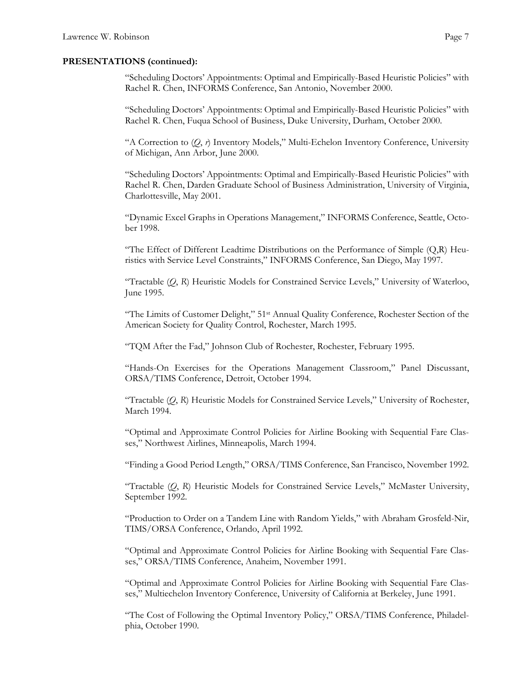"Scheduling Doctors' Appointments: Optimal and Empirically-Based Heuristic Policies" with Rachel R. Chen, INFORMS Conference, San Antonio, November 2000.

"Scheduling Doctors' Appointments: Optimal and Empirically-Based Heuristic Policies" with Rachel R. Chen, Fuqua School of Business, Duke University, Durham, October 2000.

"A Correction to (*Q*, *r*) Inventory Models," Multi-Echelon Inventory Conference, University of Michigan, Ann Arbor, June 2000.

"Scheduling Doctors' Appointments: Optimal and Empirically-Based Heuristic Policies" with Rachel R. Chen, Darden Graduate School of Business Administration, University of Virginia, Charlottesville, May 2001.

"Dynamic Excel Graphs in Operations Management," INFORMS Conference, Seattle, October 1998.

"The Effect of Different Leadtime Distributions on the Performance of Simple  $(Q,R)$  Heuristics with Service Level Constraints," INFORMS Conference, San Diego, May 1997.

 "Tractable (*Q*, *R*) Heuristic Models for Constrained Service Levels," University of Waterloo, June 1995.

"The Limits of Customer Delight," 51st Annual Quality Conference, Rochester Section of the American Society for Quality Control, Rochester, March 1995.

"TQM After the Fad," Johnson Club of Rochester, Rochester, February 1995.

"Hands-On Exercises for the Operations Management Classroom," Panel Discussant, ORSA/TIMS Conference, Detroit, October 1994.

"Tractable (*Q*, *R*) Heuristic Models for Constrained Service Levels," University of Rochester, March 1994.

"Optimal and Approximate Control Policies for Airline Booking with Sequential Fare Classes," Northwest Airlines, Minneapolis, March 1994.

"Finding a Good Period Length," ORSA/TIMS Conference, San Francisco, November 1992.

"Tractable (*Q*, *R*) Heuristic Models for Constrained Service Levels," McMaster University, September 1992.

"Production to Order on a Tandem Line with Random Yields," with Abraham Grosfeld-Nir, TIMS/ORSA Conference, Orlando, April 1992.

"Optimal and Approximate Control Policies for Airline Booking with Sequential Fare Classes," ORSA/TIMS Conference, Anaheim, November 1991.

"Optimal and Approximate Control Policies for Airline Booking with Sequential Fare Classes," Multiechelon Inventory Conference, University of California at Berkeley, June 1991.

"The Cost of Following the Optimal Inventory Policy," ORSA/TIMS Conference, Philadelphia, October 1990.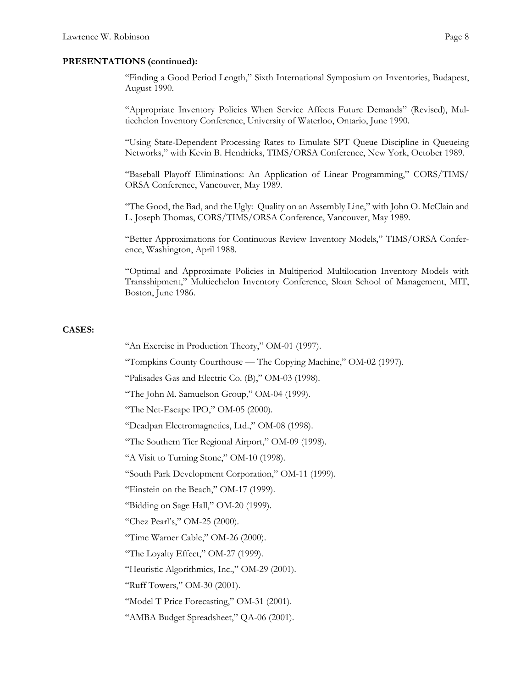"Finding a Good Period Length," Sixth International Symposium on Inventories, Budapest, August 1990.

"Appropriate Inventory Policies When Service Affects Future Demands" (Revised), Multiechelon Inventory Conference, University of Waterloo, Ontario, June 1990.

"Using State-Dependent Processing Rates to Emulate SPT Queue Discipline in Queueing Networks," with Kevin B. Hendricks, TIMS/ORSA Conference, New York, October 1989.

"Baseball Playoff Eliminations: An Application of Linear Programming," CORS/TIMS/ ORSA Conference, Vancouver, May 1989.

"The Good, the Bad, and the Ugly: Quality on an Assembly Line," with John O. McClain and L. Joseph Thomas, CORS/TIMS/ORSA Conference, Vancouver, May 1989.

"Better Approximations for Continuous Review Inventory Models," TIMS/ORSA Conference, Washington, April 1988.

"Optimal and Approximate Policies in Multiperiod Multilocation Inventory Models with Transshipment," Multiechelon Inventory Conference, Sloan School of Management, MIT, Boston, June 1986.

### **CASES:**

"An Exercise in Production Theory," OM-01 (1997).

"Tompkins County Courthouse — The Copying Machine," OM-02 (1997).

"Palisades Gas and Electric Co. (B)," OM-03 (1998).

"The John M. Samuelson Group," OM-04 (1999).

"The Net-Escape IPO," OM-05 (2000).

"Deadpan Electromagnetics, Ltd.," OM-08 (1998).

"The Southern Tier Regional Airport," OM-09 (1998).

"A Visit to Turning Stone," OM-10 (1998).

"South Park Development Corporation," OM-11 (1999).

"Einstein on the Beach," OM-17 (1999).

"Bidding on Sage Hall," OM-20 (1999).

"Chez Pearl's," OM-25 (2000).

"Time Warner Cable," OM-26 (2000).

"The Loyalty Effect," OM-27 (1999).

"Heuristic Algorithmics, Inc.," OM-29 (2001).

"Ruff Towers," OM-30 (2001).

"Model T Price Forecasting," OM-31 (2001).

"AMBA Budget Spreadsheet," QA-06 (2001).